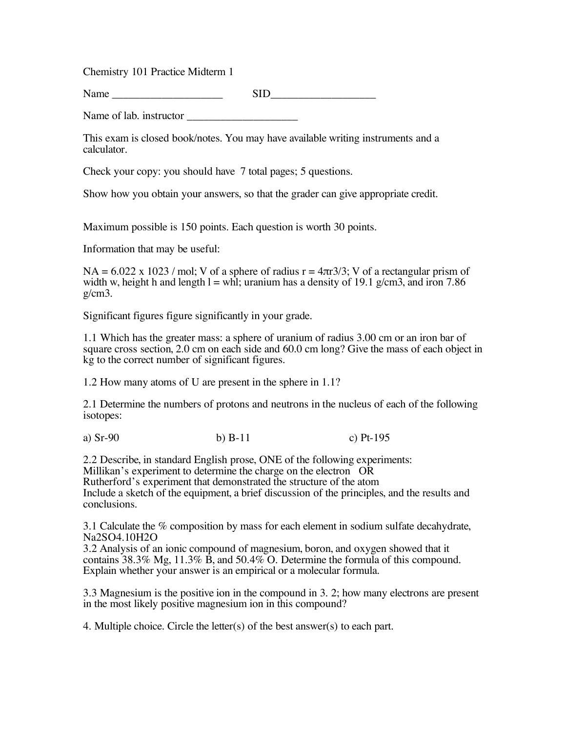Chemistry 101 Practice Midterm 1

Name SID

Name of lab. instructor

This exam is closed book/notes. You may have available writing instruments and a calculator.

Check your copy: you should have 7 total pages; 5 questions.

Show how you obtain your answers, so that the grader can give appropriate credit.

Maximum possible is 150 points. Each question is worth 30 points.

Information that may be useful:

 $NA = 6.022 \times 1023$  / mol; V of a sphere of radius  $r = 4\pi r^2/3$ ; V of a rectangular prism of width w, height h and length  $l = whl$ ; uranium has a density of 19.1 g/cm3, and iron 7.86  $g/cm3$ .

Significant figures figure significantly in your grade.

1.1 Which has the greater mass: a sphere of uranium of radius 3.00 cm or an iron bar of square cross section, 2.0 cm on each side and 60.0 cm long? Give the mass of each object in kg to the correct number of significant figures.

1.2 How many atoms of U are present in the sphere in 1.1?

2.1 Determine the numbers of protons and neutrons in the nucleus of each of the following isotopes:

a) Sr-90 b) B-11 c) Pt-195

2.2 Describe, in standard English prose, ONE of the following experiments: Millikan's experiment to determine the charge on the electron OR Rutherford's experiment that demonstrated the structure of the atom Include a sketch of the equipment, a brief discussion of the principles, and the results and conclusions.

3.1 Calculate the % composition by mass for each element in sodium sulfate decahydrate, Na2SO4.10H2O

3.2 Analysis of an ionic compound of magnesium, boron, and oxygen showed that it contains 38.3% Mg, 11.3%  $\hat{B}$ , and 50.4% O. Determine the formula of this compound. Explain whether your answer is an empirical or a molecular formula.

3.3 Magnesium is the positive ion in the compound in 3. 2; how many electrons are present in the most likely positive magnesium ion in this compound?

4. Multiple choice. Circle the letter(s) of the best answer(s) to each part.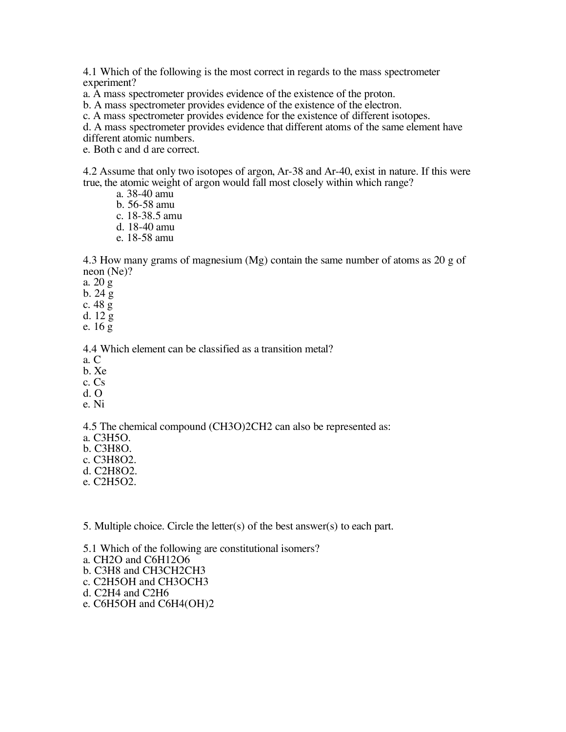4.1 Which of the following is the most correct in regards to the mass spectrometer experiment?

a. A mass spectrometer provides evidence of the existence of the proton.

b. A mass spectrometer provides evidence of the existence of the electron.

c. A mass spectrometer provides evidence for the existence of different isotopes.

d. A mass spectrometer provides evidence that different atoms of the same element have

different atomic numbers.

e. Both c and d are correct.

4.2 Assume that only two isotopes of argon, Ar-38 and Ar-40, exist in nature. If this were true, the atomic weight of argon would fall most closely within which range?

- a. 38-40 amu
- b. 56-58 amu
- c. 18-38.5 amu
- d. 18-40 amu
- e. 18-58 amu

4.3 How many grams of magnesium (Mg) contain the same number of atoms as 20 g of neon (Ne)?

a. 20 g

b.  $24\frac{6}{9}$ 

- c. 48 g
- d. 12 g
- e. 16 g

4.4 Which element can be classified as a transition metal?

- a. C
- b. Xe
- c. Cs
- d. O
- e. Ni

4.5 The chemical compound (CH3O)2CH2 can also be represented as:

- a. C3H5O.
- b. C3H8O.
- c. C3H8O2.
- d. C2H8O2.
- e. C2H5O2.

5. Multiple choice. Circle the letter(s) of the best answer(s) to each part.

5.1 Which of the following are constitutional isomers? a. CH2O and C6H12O6 b. C3H8 and CH3CH2CH3 c. C2H5OH and CH3OCH3 d. C2H4 and C2H6 e. C6H5OH and C6H4(OH)2